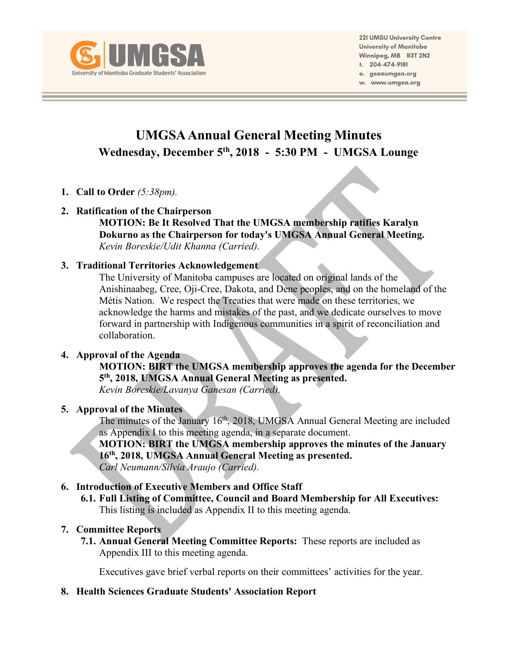

**221 UMSU University Centre** University of Manitoba Winnipeg, MB R3T 2N2 t. 204-474-9181 e. gsa@umgsa.org

w. www.umgsa.org

# **UMGSA Annual General Meeting Minutes Wednesday, December 5th, 2018 - 5:30 PM - UMGSA Lounge**

- **1. Call to Order** *(5:38pm).*
- **2. Ratification of the Chairperson MOTION: Be It Resolved That the UMGSA membership ratifies Karalyn**

**Dokurno as the Chairperson for today's UMGSA Annual General Meeting.** *Kevin Boreskie/Udit Khanna (Carried).*

# **3. Traditional Territories Acknowledgement**

The University of Manitoba campuses are located on original lands of the Anishinaabeg, Cree, Oji-Cree, Dakota, and Dene peoples, and on the homeland of the Métis Nation. We respect the Treaties that were made on these territories, we acknowledge the harms and mistakes of the past, and we dedicate ourselves to move forward in partnership with Indigenous communities in a spirit of reconciliation and collaboration.

## **4. Approval of the Agenda**

**MOTION: BIRT the UMGSA membership approves the agenda for the December 5th, 2018, UMGSA Annual General Meeting as presented.**

*Kevin Boreskie/Lavanya Ganesan (Carried).*

## **5. Approval of the Minutes**

The minutes of the January 16<sup>th</sup>, 2018, UMGSA Annual General Meeting are included as Appendix I to this meeting agenda, in a separate document.

**MOTION: BIRT the UMGSA membership approves the minutes of the January 16th, 2018, UMGSA Annual General Meeting as presented.** *Carl Neumann/Silvia Araujo (Carried).*

# **6. Introduction of Executive Members and Office Staff**

**6.1. Full Listing of Committee, Council and Board Membership for All Executives:** This listing is included as Appendix II to this meeting agenda.

# **7. Committee Reports**

**7.1. Annual General Meeting Committee Reports:** These reports are included as Appendix III to this meeting agenda.

Executives gave brief verbal reports on their committees' activities for the year.

# **8. Health Sciences Graduate Students' Association Report**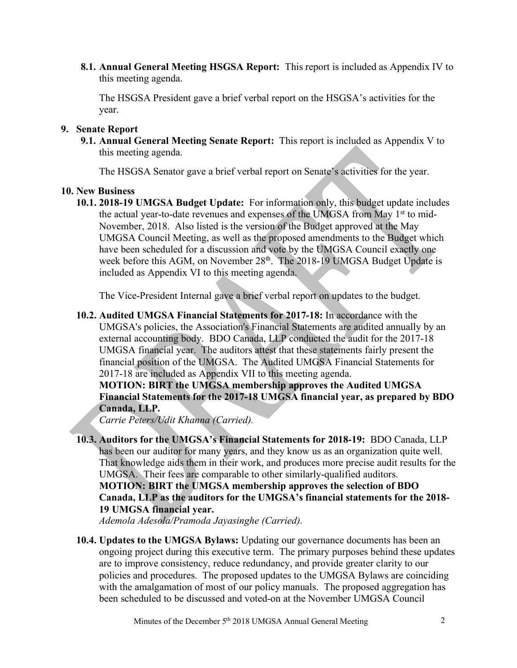**8.1. Annual General Meeting HSGSA Report:** This report is included as Appendix IV to this meeting agenda.

The HSGSA President gave a brief verbal report on the HSGSA's activities for the year.

#### **9. Senate Report**

**9.1. Annual General Meeting Senate Report:** This report is included as Appendix V to this meeting agenda.

The HSGSA Senator gave a brief verbal report on Senate's activities for the year.

#### **10. New Business**

**10.1. 2018-19 UMGSA Budget Update:** For information only, this budget update includes the actual year-to-date revenues and expenses of the UMGSA from May 1<sup>st</sup> to mid-November, 2018. Also listed is the version of the Budget approved at the May UMGSA Council Meeting, as well as the proposed amendments to the Budget which have been scheduled for a discussion and vote by the UMGSA Council exactly one week before this AGM, on November 28<sup>th</sup>. The 2018-19 UMGSA Budget Update is included as Appendix VI to this meeting agenda.

The Vice-President Internal gave a brief verbal report on updates to the budget.

**10.2. Audited UMGSA Financial Statements for 2017-18:** In accordance with the UMGSA's policies, the Association's Financial Statements are audited annually by an external accounting body. BDO Canada, LLP conducted the audit for the 2017-18 UMGSA financial year. The auditors attest that these statements fairly present the financial position of the UMGSA. The Audited UMGSA Financial Statements for 2017-18 are included as Appendix VII to this meeting agenda.

**MOTION: BIRT the UMGSA membership approves the Audited UMGSA Financial Statements for the 2017-18 UMGSA financial year, as prepared by BDO Canada, LLP.**

*Carrie Peters/Udit Khanna (Carried).*

**10.3. Auditors for the UMGSA's Financial Statements for 2018-19:** BDO Canada, LLP has been our auditor for many years, and they know us as an organization quite well. That knowledge aids them in their work, and produces more precise audit results for the UMGSA. Their fees are comparable to other similarly-qualified auditors. **MOTION: BIRT the UMGSA membership approves the selection of BDO** 

**Canada, LLP as the auditors for the UMGSA's financial statements for the 2018- 19 UMGSA financial year.**

*Ademola Adesola/Pramoda Jayasinghe (Carried).*

**10.4. Updates to the UMGSA Bylaws:** Updating our governance documents has been an ongoing project during this executive term. The primary purposes behind these updates are to improve consistency, reduce redundancy, and provide greater clarity to our policies and procedures. The proposed updates to the UMGSA Bylaws are coinciding with the amalgamation of most of our policy manuals. The proposed aggregation has been scheduled to be discussed and voted-on at the November UMGSA Council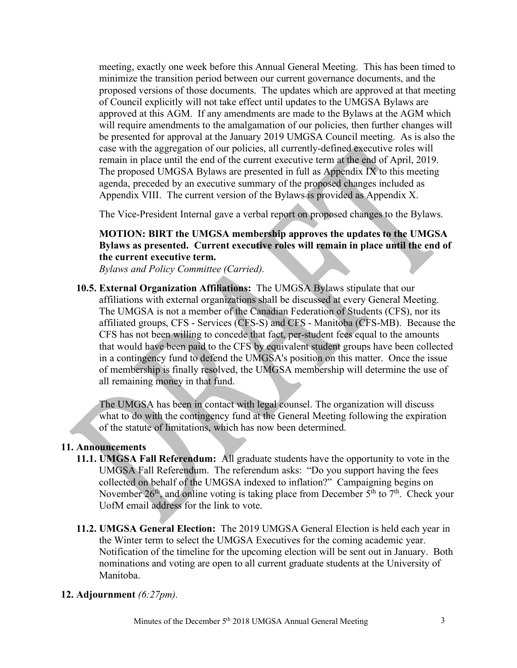meeting, exactly one week before this Annual General Meeting. This has been timed to minimize the transition period between our current governance documents, and the proposed versions of those documents. The updates which are approved at that meeting of Council explicitly will not take effect until updates to the UMGSA Bylaws are approved at this AGM. If any amendments are made to the Bylaws at the AGM which will require amendments to the amalgamation of our policies, then further changes will be presented for approval at the January 2019 UMGSA Council meeting. As is also the case with the aggregation of our policies, all currently-defined executive roles will remain in place until the end of the current executive term at the end of April, 2019. The proposed UMGSA Bylaws are presented in full as Appendix IX to this meeting agenda, preceded by an executive summary of the proposed changes included as Appendix VIII. The current version of the Bylaws is provided as Appendix X.

The Vice-President Internal gave a verbal report on proposed changes to the Bylaws.

# **MOTION: BIRT the UMGSA membership approves the updates to the UMGSA Bylaws as presented. Current executive roles will remain in place until the end of the current executive term.**

*Bylaws and Policy Committee (Carried).*

**10.5. External Organization Affiliations:** The UMGSA Bylaws stipulate that our affiliations with external organizations shall be discussed at every General Meeting. The UMGSA is not a member of the Canadian Federation of Students (CFS), nor its affiliated groups, CFS - Services (CFS-S) and CFS - Manitoba (CFS-MB). Because the CFS has not been willing to concede that fact, per-student fees equal to the amounts that would have been paid to the CFS by equivalent student groups have been collected in a contingency fund to defend the UMGSA's position on this matter. Once the issue of membership is finally resolved, the UMGSA membership will determine the use of all remaining money in that fund.

The UMGSA has been in contact with legal counsel. The organization will discuss what to do with the contingency fund at the General Meeting following the expiration of the statute of limitations, which has now been determined.

## **11. Announcements**

- **11.1. UMGSA Fall Referendum:** All graduate students have the opportunity to vote in the UMGSA Fall Referendum. The referendum asks: "Do you support having the fees collected on behalf of the UMGSA indexed to inflation?" Campaigning begins on November 26<sup>th</sup>, and online voting is taking place from December  $5<sup>th</sup>$  to  $7<sup>th</sup>$ . Check your UofM email address for the link to vote.
- **11.2. UMGSA General Election:** The 2019 UMGSA General Election is held each year in the Winter term to select the UMGSA Executives for the coming academic year. Notification of the timeline for the upcoming election will be sent out in January. Both nominations and voting are open to all current graduate students at the University of Manitoba.

## **12. Adjournment** *(6:27pm).*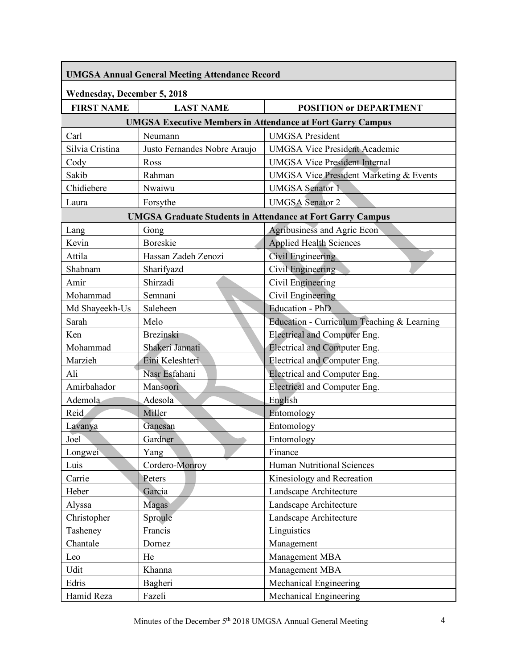| <b>UMGSA Annual General Meeting Attendance Record</b>             |                              |                                                    |  |
|-------------------------------------------------------------------|------------------------------|----------------------------------------------------|--|
| <b>Wednesday, December 5, 2018</b>                                |                              |                                                    |  |
| <b>FIRST NAME</b>                                                 | <b>LAST NAME</b>             | <b>POSITION or DEPARTMENT</b>                      |  |
| <b>UMGSA Executive Members in Attendance at Fort Garry Campus</b> |                              |                                                    |  |
| Carl                                                              | Neumann                      | <b>UMGSA</b> President                             |  |
| Silvia Cristina                                                   | Justo Fernandes Nobre Araujo | <b>UMGSA Vice President Academic</b>               |  |
| Cody                                                              | Ross                         | <b>UMGSA Vice President Internal</b>               |  |
| Sakib                                                             | Rahman                       | <b>UMGSA Vice President Marketing &amp; Events</b> |  |
| Chidiebere                                                        | Nwaiwu                       | <b>UMGSA</b> Senator 1                             |  |
| Laura                                                             | Forsythe                     | <b>UMGSA</b> Senator 2                             |  |
| <b>UMGSA Graduate Students in Attendance at Fort Garry Campus</b> |                              |                                                    |  |
| Lang                                                              | Gong                         | Agribusiness and Agric Econ                        |  |
| Kevin                                                             | <b>Boreskie</b>              | <b>Applied Health Sciences</b>                     |  |
| Attila                                                            | Hassan Zadeh Zenozi          | Civil Engineering                                  |  |
| Shabnam                                                           | Sharifyazd                   | Civil Engineering                                  |  |
| Amir                                                              | Shirzadi                     | Civil Engineering                                  |  |
| Mohammad                                                          | Semnani                      | Civil Engineering                                  |  |
| Md Shayeekh-Us                                                    | Saleheen                     | <b>Education - PhD</b>                             |  |
| Sarah                                                             | Melo                         | Education - Curriculum Teaching & Learning         |  |
| Ken                                                               | <b>Brezinski</b>             | <b>Electrical and Computer Eng.</b>                |  |
| Mohammad                                                          | Shakeri Jannati              | Electrical and Computer Eng.                       |  |
| Marzieh                                                           | Eini Keleshteri              | Electrical and Computer Eng.                       |  |
| Ali                                                               | Nasr Esfahani                | Electrical and Computer Eng.                       |  |
| Amirbahador                                                       | Mansoori                     | Electrical and Computer Eng.                       |  |
| Ademola                                                           | Adesola                      | English                                            |  |
| Reid                                                              | Miller                       | Entomology                                         |  |
| Lavanya                                                           | Ganesan                      | Entomology                                         |  |
| Joel                                                              | Gardner                      | Entomology                                         |  |
| Longwei                                                           | Yang                         | Finance                                            |  |
| Luis                                                              | Cordero-Monroy               | Human Nutritional Sciences                         |  |
| Carrie                                                            | Peters                       | Kinesiology and Recreation                         |  |
| Heber                                                             | Garcia                       | Landscape Architecture                             |  |
| Alyssa                                                            | Magas                        | Landscape Architecture                             |  |
| Christopher                                                       | Sproule                      | Landscape Architecture                             |  |
| Tasheney                                                          | Francis                      | Linguistics                                        |  |
| Chantale                                                          | Dornez                       | Management                                         |  |
| Leo                                                               | He                           | Management MBA                                     |  |
| Udit                                                              | Khanna                       | Management MBA                                     |  |
| Edris                                                             | Bagheri                      | Mechanical Engineering                             |  |
| Hamid Reza                                                        | Fazeli                       | Mechanical Engineering                             |  |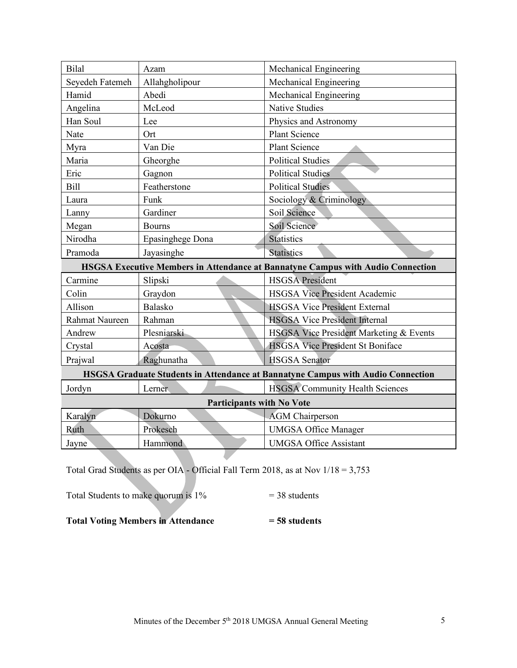| <b>Bilal</b>                                                                           | Azam             | Mechanical Engineering                  |
|----------------------------------------------------------------------------------------|------------------|-----------------------------------------|
| Seyedeh Fatemeh                                                                        | Allahgholipour   | Mechanical Engineering                  |
| Hamid                                                                                  | Abedi            | Mechanical Engineering                  |
| Angelina                                                                               | McLeod           | <b>Native Studies</b>                   |
| Han Soul                                                                               | Lee              | Physics and Astronomy                   |
| Nate                                                                                   | Ort              | <b>Plant Science</b>                    |
| Myra                                                                                   | Van Die          | <b>Plant Science</b>                    |
| Maria                                                                                  | Gheorghe         | <b>Political Studies</b>                |
| Eric                                                                                   | Gagnon           | <b>Political Studies</b>                |
| Bill                                                                                   | Featherstone     | <b>Political Studies</b>                |
| Laura                                                                                  | Funk             | Sociology & Criminology                 |
| Lanny                                                                                  | Gardiner         | Soil Science                            |
| Megan                                                                                  | <b>Bourns</b>    | Soil Science                            |
| Nirodha                                                                                | Epasinghege Dona | <b>Statistics</b>                       |
| Pramoda                                                                                | Jayasinghe       | <b>Statistics</b>                       |
| HSGSA Executive Members in Attendance at Bannatyne Campus with Audio Connection        |                  |                                         |
| Carmine                                                                                | Slipski          | <b>HSGSA</b> President                  |
| Colin                                                                                  | Graydon          | <b>HSGSA Vice President Academic</b>    |
| Allison                                                                                | <b>Balasko</b>   | <b>HSGSA Vice President External</b>    |
| Rahmat Naureen                                                                         | Rahman           | <b>HSGSA Vice President Internal</b>    |
| Andrew                                                                                 | Plesniarski      | HSGSA Vice President Marketing & Events |
| Crystal                                                                                | Acosta           | <b>HSGSA</b> Vice President St Boniface |
| Prajwal                                                                                | Raghunatha       | <b>HSGSA</b> Senator                    |
| <b>HSGSA Graduate Students in Attendance at Bannatyne Campus with Audio Connection</b> |                  |                                         |
| Jordyn                                                                                 | Lerner           | <b>HSGSA</b> Community Health Sciences  |
| <b>Participants with No Vote</b>                                                       |                  |                                         |
| Karalyn                                                                                | Dokurno          | <b>AGM</b> Chairperson                  |
|                                                                                        |                  |                                         |
| Ruth                                                                                   | Prokesch         | <b>UMGSA Office Manager</b>             |
| Jayne                                                                                  | Hammond          | <b>UMGSA Office Assistant</b>           |

Total Grad Students as per OIA - Official Fall Term 2018, as at Nov 1/18 = 3,753

Total Students to make quorum is  $1\%$  = 38 students

**Total Voting Members in Attendance = 58 students**